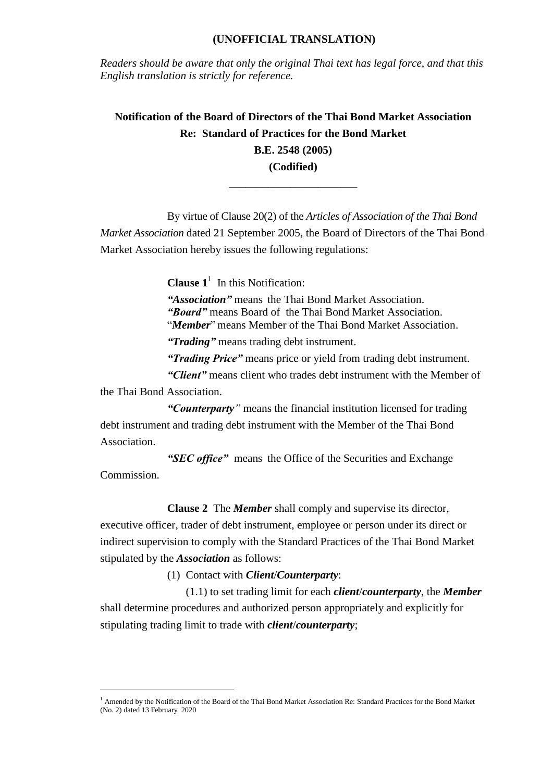## **(UNOFFICIAL TRANSLATION)**

*Readers should be aware that only the original Thai text has legal force, and that this English translation is strictly for reference.*

**Notification of the Board of Directors of the Thai Bond Market Association Re: Standard of Practices for the Bond Market B.E. 2548 (2005) (Codified)**

\_\_\_\_\_\_\_\_\_\_\_\_\_\_\_\_\_\_\_\_\_\_\_

By virtue of Clause 20(2) of the *Articles of Association of the Thai Bond Market Association* dated 21 September 2005, the Board of Directors of the Thai Bond Market Association hereby issues the following regulations:

**Clause**  $1^1$  In this Notification:

*"Association"* means the Thai Bond Market Association. *"Board"* means Board of the Thai Bond Market Association. "*Member*" means Member of the Thai Bond Market Association.

*"Trading"* means trading debt instrument.

*"Trading Price"* means price or yield from trading debt instrument.

*"Client"* means client who trades debt instrument with the Member of the Thai Bond Association.

*"Counterparty"* means the financial institution licensed for trading debt instrument and trading debt instrument with the Member of the Thai Bond Association.

*"SEC office"* means the Office of the Securities and Exchange Commission.

**Clause 2** The *Member* shall comply and supervise its director,

executive officer, trader of debt instrument, employee or person under its direct or indirect supervision to comply with the Standard Practices of the Thai Bond Market stipulated by the *Association* as follows:

(1) Contact with *Client*/*Counterparty*:

 $\overline{a}$ 

(1.1) to set trading limit for each *client*/*counterparty*, the *Member* shall determine procedures and authorized person appropriately and explicitly for stipulating trading limit to trade with *client*/*counterparty*;

<sup>&</sup>lt;sup>1</sup> Amended by the Notification of the Board of the Thai Bond Market Association Re: Standard Practices for the Bond Market (No. 2) dated 13 February 2020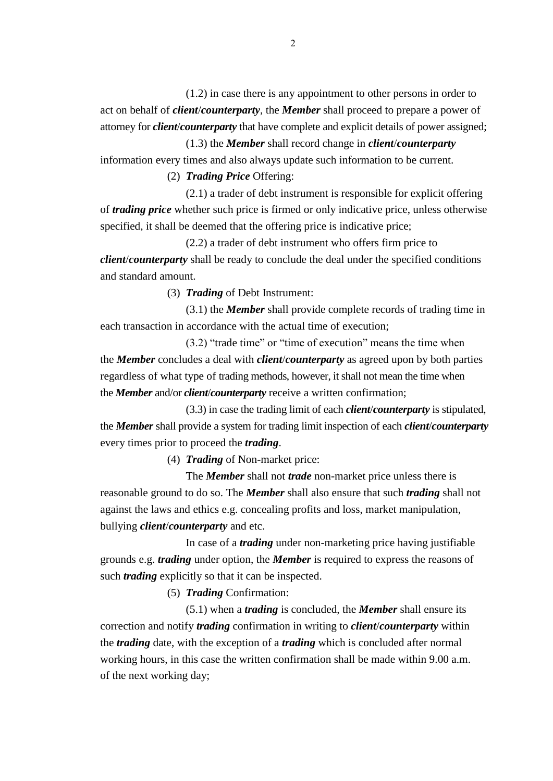(1.2) in case there is any appointment to other persons in order to act on behalf of *client*/*counterparty*, the *Member* shall proceed to prepare a power of attorney for *client*/*counterparty* that have complete and explicit details of power assigned;

(1.3) the *Member* shall record change in *client*/*counterparty* information every times and also always update such information to be current.

(2) *Trading Price* Offering:

(2.1) a trader of debt instrument is responsible for explicit offering of *trading price* whether such price is firmed or only indicative price, unless otherwise specified, it shall be deemed that the offering price is indicative price;

(2.2) a trader of debt instrument who offers firm price to *client*/*counterparty* shall be ready to conclude the deal under the specified conditions and standard amount.

(3) *Trading* of Debt Instrument:

(3.1) the *Member* shall provide complete records of trading time in each transaction in accordance with the actual time of execution;

(3.2) "trade time" or "time of execution" means the time when the *Member* concludes a deal with *client*/*counterparty* as agreed upon by both parties regardless of what type of trading methods, however, it shall not mean the time when the *Member* and/or *client*/*counterparty* receive a written confirmation;

(3.3) in case the trading limit of each *client*/*counterparty* is stipulated, the *Member* shall provide a system for trading limit inspection of each *client*/*counterparty* every times prior to proceed the *trading*.

(4) *Trading* of Non-market price:

The *Member* shall not *trade* non-market price unless there is reasonable ground to do so. The *Member* shall also ensure that such *trading* shall not against the laws and ethics e.g. concealing profits and loss, market manipulation, bullying *client*/*counterparty* and etc.

In case of a *trading* under non-marketing price having justifiable grounds e.g. *trading* under option, the *Member* is required to express the reasons of such *trading* explicitly so that it can be inspected.

(5) *Trading* Confirmation:

(5.1) when a *trading* is concluded, the *Member* shall ensure its correction and notify *trading* confirmation in writing to *client*/*counterparty* within the *trading* date, with the exception of a *trading* which is concluded after normal working hours, in this case the written confirmation shall be made within 9.00 a.m. of the next working day;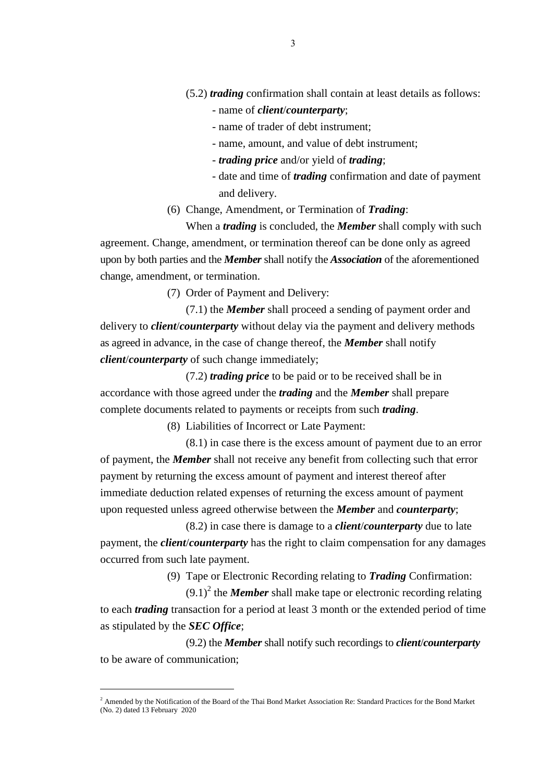(5.2) *trading* confirmation shall contain at least details as follows:

- name of *client*/*counterparty*;
- name of trader of debt instrument;
- name, amount, and value of debt instrument;
- *trading price* and/or yield of *trading*;
- date and time of *trading* confirmation and date of payment and delivery.
- (6) Change, Amendment, or Termination of *Trading*:

When a *trading* is concluded, the *Member* shall comply with such agreement. Change, amendment, or termination thereof can be done only as agreed upon by both parties and the *Member* shall notify the *Association* of the aforementioned change, amendment, or termination.

(7) Order of Payment and Delivery:

(7.1) the *Member* shall proceed a sending of payment order and delivery to *client*/*counterparty* without delay via the payment and delivery methods as agreed in advance, in the case of change thereof, the *Member* shall notify *client*/*counterparty* of such change immediately;

(7.2) *trading price* to be paid or to be received shall be in accordance with those agreed under the *trading* and the *Member* shall prepare complete documents related to payments or receipts from such *trading*.

(8) Liabilities of Incorrect or Late Payment:

(8.1) in case there is the excess amount of payment due to an error of payment, the *Member* shall not receive any benefit from collecting such that error payment by returning the excess amount of payment and interest thereof after immediate deduction related expenses of returning the excess amount of payment upon requested unless agreed otherwise between the *Member* and *counterparty*;

(8.2) in case there is damage to a *client*/*counterparty* due to late payment, the *client*/*counterparty* has the right to claim compensation for any damages occurred from such late payment.

(9) Tape or Electronic Recording relating to *Trading* Confirmation:

 $(9.1)^2$  the *Member* shall make tape or electronic recording relating to each *trading* transaction for a period at least 3 month or the extended period of time as stipulated by the *SEC Office*;

(9.2) the *Member* shall notify such recordings to *client*/*counterparty* to be aware of communication;

 $\overline{a}$ 

<sup>&</sup>lt;sup>2</sup> Amended by the Notification of the Board of the Thai Bond Market Association Re: Standard Practices for the Bond Market (No. 2) dated 13 February 2020